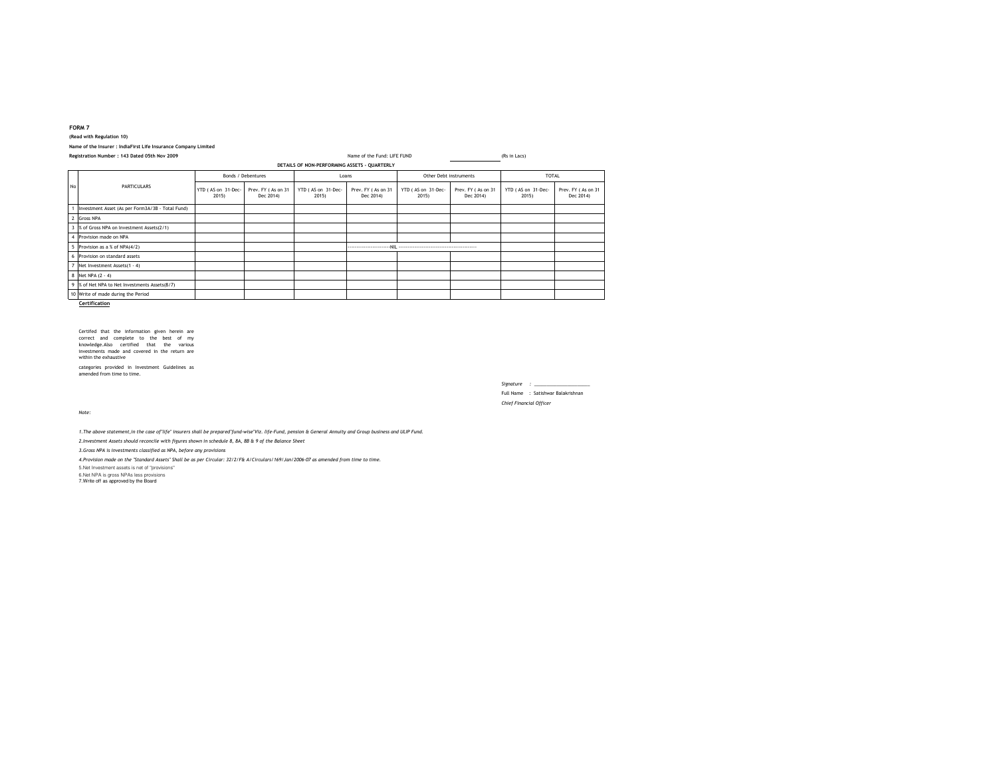## **FORM 7**

**(Read with Regulation 10)**

**Name of the Insurer : IndiaFirst Life Insurance Company Limited**

|                                              | Name of the Insurer : IndiaFirst Life Insurance Company Limited |                             |                                 |                             |                                 |                             |                                 |                             |                                 |
|----------------------------------------------|-----------------------------------------------------------------|-----------------------------|---------------------------------|-----------------------------|---------------------------------|-----------------------------|---------------------------------|-----------------------------|---------------------------------|
| Registration Number: 143 Dated 05th Nov 2009 |                                                                 |                             |                                 | Name of the Fund: LIFE FUND |                                 |                             | (Rs in Lacs)                    |                             |                                 |
| DETAILS OF NON-PERFORMING ASSETS - OUARTERLY |                                                                 |                             |                                 |                             |                                 |                             |                                 |                             |                                 |
|                                              |                                                                 | Bonds / Debentures          |                                 | Loans                       |                                 | Other Debt instruments      |                                 | <b>TOTAL</b>                |                                 |
| No                                           | <b>PARTICULARS</b>                                              | YTD (AS on 31-Dec-<br>2015) | Prev. FY (As on 31<br>Dec 2014) | YTD (AS on 31-Dec-<br>2015) | Prev. FY (As on 31<br>Dec 2014) | YTD (AS on 31-Dec-<br>2015) | Prev. FY (As on 31<br>Dec 2014) | YTD (AS on 31-Dec-<br>2015) | Prev. FY (As on 31<br>Dec 2014) |
|                                              | Investment Asset (As per Form3A/3B - Total Fund)                |                             |                                 |                             |                                 |                             |                                 |                             |                                 |
|                                              | 2 Gross NPA                                                     |                             |                                 |                             |                                 |                             |                                 |                             |                                 |
|                                              | 3 % of Gross NPA on Investment Assets(2/1)                      |                             |                                 |                             |                                 |                             |                                 |                             |                                 |
|                                              | 4 Provision made on NPA                                         |                             |                                 |                             |                                 |                             |                                 |                             |                                 |
|                                              | 5 Provision as a % of NPA(4/2)                                  |                             |                                 |                             |                                 |                             |                                 |                             |                                 |
|                                              | 6 Provision on standard assets                                  |                             |                                 |                             |                                 |                             |                                 |                             |                                 |

<sup>9</sup> % of Net NPA to Net Investments Assets(8/7) <sup>10</sup> Write of made during the Period

7 Net Investment Assets(1 - 4) <sup>8</sup> Net NPA (2 - 4)

**Certification**

Certifed that the information given herein are correct and complete to the best of my knowledge.Also certified that the various investments made and covered in the return are within the exhaustive categories provided in Investment Guidelines as amended from time to time.

> *Signature : \_\_\_\_\_\_\_\_\_\_\_\_\_\_\_\_\_\_\_\_\_\_*Full Name : Satishwar Balakrishnan*Chief Financial Officer*

*Note:*

*1.The above statement,in the case of"life" insurers shall be prepared"fund-wise"Viz. life-Fund, pension & General Annuity and Group business and ULIP Fund.*

*2.Investment Assets should reconcile with figures shown in schedule 8, 8A, 8B & 9 of the Balance Sheet*

*3.Gross NPA is investments classified as NPA, before any provisions*

*4.Provision made on the "Standard Assets" Shall be as per Circular: 32/2/F& A/Circulars/169/Jan/2006-07 as amended from time to time.*

5.Net Investment assets is net of ''provisions''

6.Net NPA is gross NPAs less provisions 7.Write off as approved by the Board